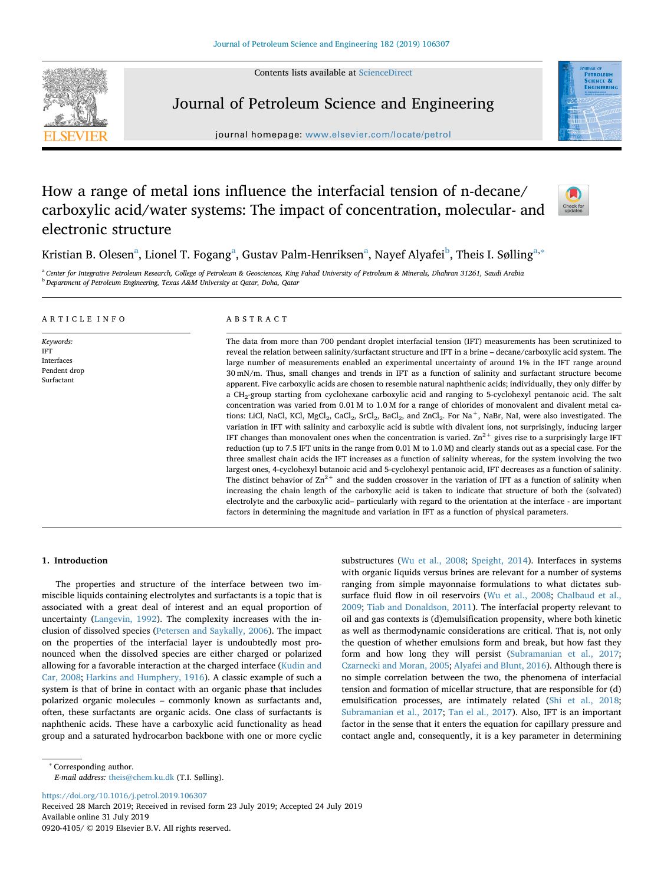Contents lists available at [ScienceDirect](http://www.sciencedirect.com/science/journal/09204105)



Journal of Petroleum Science and Engineering

journal homepage: [www.elsevier.com/locate/petrol](https://www.elsevier.com/locate/petrol)

# How a range of metal ions influence the interfacial tension of n-decane/ carboxylic acid/water systems: The impact of concentration, molecular- and electronic structure



CIENCE &

Check fo<br>updates

## Kristi[a](#page-0-0)n B. Olesen<sup>a</sup>, Lionel T. Fogang<sup>a</sup>, Gustav Palm-Henriksen<sup>a</sup>, Nayef Alyafei<sup>[b](#page-0-1)</sup>, Theis I. Sølling<sup>[a,](#page-0-0)[∗](#page-0-2)</sup>

<span id="page-0-1"></span><span id="page-0-0"></span><sup>a</sup> *Center for Integrative Petroleum Research, College of Petroleum & Geosciences, King Fahad University of Petroleum & Minerals, Dhahran 31261, Saudi Arabia* <sup>b</sup> *Department of Petroleum Engineering, Texas A&M University at Qatar, Doha, Qatar*

## ARTICLE INFO

*Keywords:* IFT Interfaces Pendent drop Surfactant

## ABSTRACT

The data from more than 700 pendant droplet interfacial tension (IFT) measurements has been scrutinized to reveal the relation between salinity/surfactant structure and IFT in a brine – decane/carboxylic acid system. The large number of measurements enabled an experimental uncertainty of around 1% in the IFT range around 30 mN/m. Thus, small changes and trends in IFT as a function of salinity and surfactant structure become apparent. Five carboxylic acids are chosen to resemble natural naphthenic acids; individually, they only differ by a CH2-group starting from cyclohexane carboxylic acid and ranging to 5-cyclohexyl pentanoic acid. The salt concentration was varied from 0.01 M to 1.0 M for a range of chlorides of monovalent and divalent metal cations: LiCl, NaCl, KCl, MgCl<sub>2</sub>, CaCl<sub>2</sub>, SrCl<sub>2</sub>, BaCl<sub>2</sub>, and ZnCl<sub>2</sub>. For Na<sup>+</sup>, NaBr, NaI, were also investigated. The variation in IFT with salinity and carboxylic acid is subtle with divalent ions, not surprisingly, inducing larger IFT changes than monovalent ones when the concentration is varied.  $\text{Zn}^{2+}$  gives rise to a surprisingly large IFT reduction (up to 7.5 IFT units in the range from 0.01 M to 1.0 M) and clearly stands out as a special case. For the three smallest chain acids the IFT increases as a function of salinity whereas, for the system involving the two largest ones, 4-cyclohexyl butanoic acid and 5-cyclohexyl pentanoic acid, IFT decreases as a function of salinity. The distinct behavior of  $\text{Zn}^{2+}$  and the sudden crossover in the variation of IFT as a function of salinity when increasing the chain length of the carboxylic acid is taken to indicate that structure of both the (solvated) electrolyte and the carboxylic acid– particularly with regard to the orientation at the interface - are important factors in determining the magnitude and variation in IFT as a function of physical parameters.

## **1. Introduction**

The properties and structure of the interface between two immiscible liquids containing electrolytes and surfactants is a topic that is associated with a great deal of interest and an equal proportion of uncertainty ([Langevin, 1992\)](#page-6-0). The complexity increases with the inclusion of dissolved species [\(Petersen and Saykally, 2006\)](#page-6-1). The impact on the properties of the interfacial layer is undoubtedly most pronounced when the dissolved species are either charged or polarized allowing for a favorable interaction at the charged interface [\(Kudin and](#page-6-2) [Car, 2008;](#page-6-2) [Harkins and Humphery, 1916](#page-5-0)). A classic example of such a system is that of brine in contact with an organic phase that includes polarized organic molecules – commonly known as surfactants and, often, these surfactants are organic acids. One class of surfactants is naphthenic acids. These have a carboxylic acid functionality as head group and a saturated hydrocarbon backbone with one or more cyclic substructures ([Wu et al., 2008;](#page-6-3) [Speight, 2014\)](#page-6-4). Interfaces in systems with organic liquids versus brines are relevant for a number of systems ranging from simple mayonnaise formulations to what dictates subsurface fluid flow in oil reservoirs [\(Wu et al., 2008](#page-6-3); [Chalbaud et al.,](#page-5-1) [2009;](#page-5-1) [Tiab and Donaldson, 2011\)](#page-6-5). The interfacial property relevant to oil and gas contexts is (d)emulsification propensity, where both kinetic as well as thermodynamic considerations are critical. That is, not only the question of whether emulsions form and break, but how fast they form and how long they will persist ([Subramanian et al., 2017](#page-6-6); [Czarnecki and Moran, 2005](#page-5-2); [Alyafei and Blunt, 2016](#page-5-3)). Although there is no simple correlation between the two, the phenomena of interfacial tension and formation of micellar structure, that are responsible for (d) emulsification processes, are intimately related ([Shi et al., 2018](#page-6-7); [Subramanian et al., 2017](#page-6-6); [Tan el al., 2017\)](#page-6-8). Also, IFT is an important factor in the sense that it enters the equation for capillary pressure and contact angle and, consequently, it is a key parameter in determining

*E-mail address:* [theis@chem.ku.dk](mailto:theis@chem.ku.dk) (T.I. Sølling).

<https://doi.org/10.1016/j.petrol.2019.106307>

Received 28 March 2019; Received in revised form 23 July 2019; Accepted 24 July 2019 Available online 31 July 2019 0920-4105/ © 2019 Elsevier B.V. All rights reserved.

<span id="page-0-2"></span><sup>∗</sup> Corresponding author.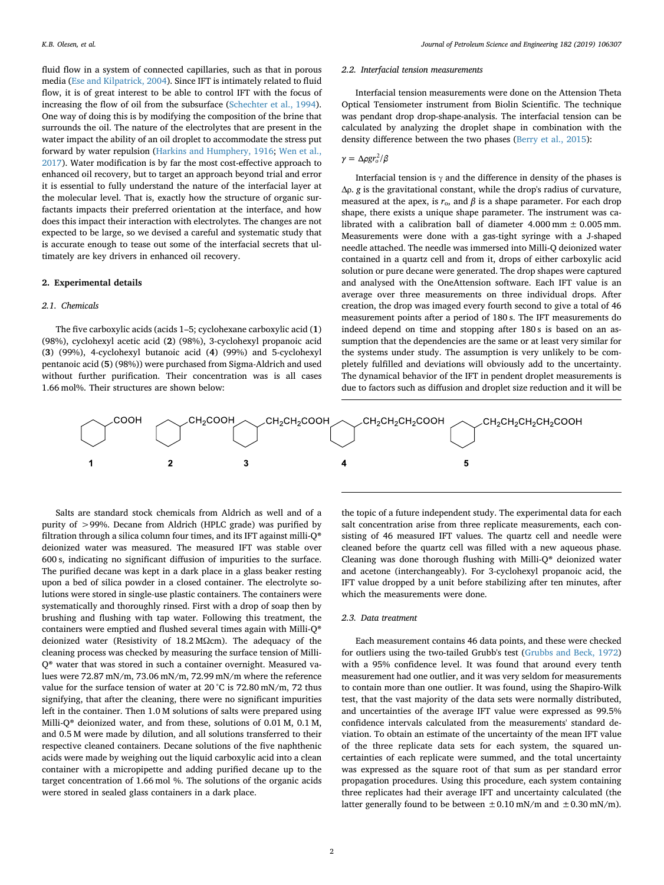fluid flow in a system of connected capillaries, such as that in porous media [\(Ese and Kilpatrick, 2004\)](#page-5-4). Since IFT is intimately related to fluid flow, it is of great interest to be able to control IFT with the focus of increasing the flow of oil from the subsurface ([Schechter et al., 1994](#page-6-9)). One way of doing this is by modifying the composition of the brine that surrounds the oil. The nature of the electrolytes that are present in the water impact the ability of an oil droplet to accommodate the stress put forward by water repulsion ([Harkins and Humphery, 1916;](#page-5-0) [Wen et al.,](#page-6-10) [2017\)](#page-6-10). Water modification is by far the most cost-effective approach to enhanced oil recovery, but to target an approach beyond trial and error it is essential to fully understand the nature of the interfacial layer at the molecular level. That is, exactly how the structure of organic surfactants impacts their preferred orientation at the interface, and how does this impact their interaction with electrolytes. The changes are not expected to be large, so we devised a careful and systematic study that is accurate enough to tease out some of the interfacial secrets that ultimately are key drivers in enhanced oil recovery.

#### **2. Experimental details**

### *2.1. Chemicals*

The five carboxylic acids (acids 1–5; cyclohexane carboxylic acid (**1**) (98%), cyclohexyl acetic acid (**2**) (98%), 3-cyclohexyl propanoic acid (**3**) (99%), 4-cyclohexyl butanoic acid (**4**) (99%) and 5-cyclohexyl pentanoic acid (**5**) (98%)) were purchased from Sigma-Aldrich and used without further purification. Their concentration was is all cases 1.66 mol%. Their structures are shown below:

#### *2.2. Interfacial tension measurements*

Interfacial tension measurements were done on the Attension Theta Optical Tensiometer instrument from Biolin Scientific. The technique was pendant drop drop-shape-analysis. The interfacial tension can be calculated by analyzing the droplet shape in combination with the density difference between the two phases ([Berry et al., 2015](#page-5-5)):

## $= \Delta \rho g r_o^2$

Interfacial tension is *γ* and the difference in density of the phases is Δ*ρ*. *g* is the gravitational constant, while the drop's radius of curvature, measured at the apex, is  $r_0$ , and  $\beta$  is a shape parameter. For each drop shape, there exists a unique shape parameter. The instrument was calibrated with a calibration ball of diameter  $4.000 \text{ mm} \pm 0.005 \text{ mm}$ . Measurements were done with a gas-tight syringe with a J-shaped needle attached. The needle was immersed into Milli-Q deionized water contained in a quartz cell and from it, drops of either carboxylic acid solution or pure decane were generated. The drop shapes were captured and analysed with the OneAttension software. Each IFT value is an average over three measurements on three individual drops. After creation, the drop was imaged every fourth second to give a total of 46 measurement points after a period of 180 s. The IFT measurements do indeed depend on time and stopping after 180 s is based on an assumption that the dependencies are the same or at least very similar for the systems under study. The assumption is very unlikely to be completely fulfilled and deviations will obviously add to the uncertainty. The dynamical behavior of the IFT in pendent droplet measurements is due to factors such as diffusion and droplet size reduction and it will be



Salts are standard stock chemicals from Aldrich as well and of a purity of >99%. Decane from Aldrich (HPLC grade) was purified by filtration through a silica column four times, and its IFT against milli-Q® deionized water was measured. The measured IFT was stable over 600 s, indicating no significant diffusion of impurities to the surface. The purified decane was kept in a dark place in a glass beaker resting upon a bed of silica powder in a closed container. The electrolyte solutions were stored in single-use plastic containers. The containers were systematically and thoroughly rinsed. First with a drop of soap then by brushing and flushing with tap water. Following this treatment, the containers were emptied and flushed several times again with Milli-Q® deionized water (Resistivity of 18.2 MΩcm). The adequacy of the cleaning process was checked by measuring the surface tension of Milli-Q® water that was stored in such a container overnight. Measured values were 72.87 mN/m, 73.06 mN/m, 72.99 mN/m where the reference value for the surface tension of water at 20 °C is 72.80 mN/m, 72 thus signifying, that after the cleaning, there were no significant impurities left in the container. Then 1.0 M solutions of salts were prepared using Milli-Q® deionized water, and from these, solutions of 0.01 M, 0.1 M, and 0.5 M were made by dilution, and all solutions transferred to their respective cleaned containers. Decane solutions of the five naphthenic acids were made by weighing out the liquid carboxylic acid into a clean container with a micropipette and adding purified decane up to the target concentration of 1.66 mol %. The solutions of the organic acids were stored in sealed glass containers in a dark place.

the topic of a future independent study. The experimental data for each salt concentration arise from three replicate measurements, each consisting of 46 measured IFT values. The quartz cell and needle were cleaned before the quartz cell was filled with a new aqueous phase. Cleaning was done thorough flushing with Milli-Q® deionized water and acetone (interchangeably). For 3-cyclohexyl propanoic acid, the IFT value dropped by a unit before stabilizing after ten minutes, after which the measurements were done.

#### *2.3. Data treatment*

Each measurement contains 46 data points, and these were checked for outliers using the two-tailed Grubb's test ([Grubbs and Beck, 1972\)](#page-5-6) with a 95% confidence level. It was found that around every tenth measurement had one outlier, and it was very seldom for measurements to contain more than one outlier. It was found, using the Shapiro-Wilk test, that the vast majority of the data sets were normally distributed, and uncertainties of the average IFT value were expressed as 99.5% confidence intervals calculated from the measurements' standard deviation. To obtain an estimate of the uncertainty of the mean IFT value of the three replicate data sets for each system, the squared uncertainties of each replicate were summed, and the total uncertainty was expressed as the square root of that sum as per standard error propagation procedures. Using this procedure, each system containing three replicates had their average IFT and uncertainty calculated (the latter generally found to be between  $\pm$  0.10 mN/m and  $\pm$  0.30 mN/m).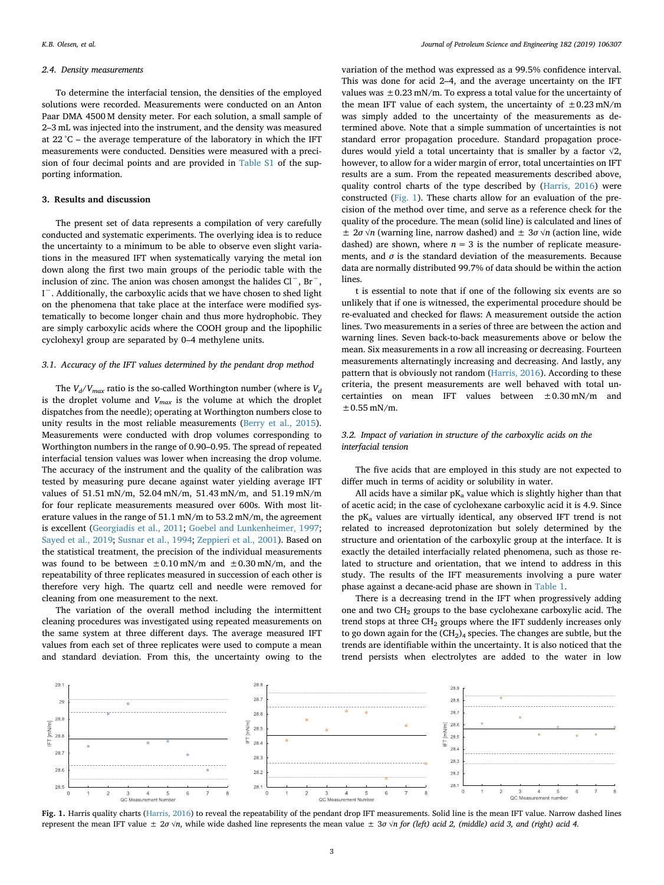#### *2.4. Density measurements*

To determine the interfacial tension, the densities of the employed solutions were recorded. Measurements were conducted on an Anton Paar DMA 4500 M density meter. For each solution, a small sample of 2–3 mL was injected into the instrument, and the density was measured at 22 °C – the average temperature of the laboratory in which the IFT measurements were conducted. Densities were measured with a precision of four decimal points and are provided in Table S1 of the supporting information.

#### **3. Results and discussion**

The present set of data represents a compilation of very carefully conducted and systematic experiments. The overlying idea is to reduce the uncertainty to a minimum to be able to observe even slight variations in the measured IFT when systematically varying the metal ion down along the first two main groups of the periodic table with the inclusion of zinc. The anion was chosen amongst the halides Cl−, Br−, I −. Additionally, the carboxylic acids that we have chosen to shed light on the phenomena that take place at the interface were modified systematically to become longer chain and thus more hydrophobic. They are simply carboxylic acids where the COOH group and the lipophilic cyclohexyl group are separated by 0–4 methylene units.

## *3.1. Accuracy of the IFT values determined by the pendant drop method*

The  $V_d/V_{max}$  ratio is the so-called Worthington number (where is  $V_d$ ) is the droplet volume and *Vmax* is the volume at which the droplet dispatches from the needle); operating at Worthington numbers close to unity results in the most reliable measurements [\(Berry et al., 2015](#page-5-5)). Measurements were conducted with drop volumes corresponding to Worthington numbers in the range of 0.90–0.95. The spread of repeated interfacial tension values was lower when increasing the drop volume. The accuracy of the instrument and the quality of the calibration was tested by measuring pure decane against water yielding average IFT values of 51.51 mN/m, 52.04 mN/m, 51.43 mN/m, and 51.19 mN/m for four replicate measurements measured over 600s. With most literature values in the range of 51.1 mN/m to 53.2 mN/m, the agreement is excellent [\(Georgiadis et al., 2011;](#page-5-7) [Goebel and Lunkenheimer, 1997](#page-5-8); [Sayed et al., 2019](#page-6-11); [Susnar et al., 1994](#page-6-12); [Zeppieri et al., 2001](#page-6-13)). Based on the statistical treatment, the precision of the individual measurements was found to be between  $\pm 0.10$  mN/m and  $\pm 0.30$  mN/m, and the repeatability of three replicates measured in succession of each other is therefore very high. The quartz cell and needle were removed for cleaning from one measurement to the next.

The variation of the overall method including the intermittent cleaning procedures was investigated using repeated measurements on the same system at three different days. The average measured IFT values from each set of three replicates were used to compute a mean and standard deviation. From this, the uncertainty owing to the

variation of the method was expressed as a 99.5% confidence interval. This was done for acid 2–4, and the average uncertainty on the IFT values was  $\pm$  0.23 mN/m. To express a total value for the uncertainty of the mean IFT value of each system, the uncertainty of  $\pm$  0.23 mN/m was simply added to the uncertainty of the measurements as determined above. Note that a simple summation of uncertainties is not standard error propagation procedure. Standard propagation procedures would yield a total uncertainty that is smaller by a factor  $\sqrt{2}$ , however, to allow for a wider margin of error, total uncertainties on IFT results are a sum. From the repeated measurements described above, quality control charts of the type described by ([Harris, 2016\)](#page-6-14) were constructed ([Fig. 1\)](#page-2-0). These charts allow for an evaluation of the precision of the method over time, and serve as a reference check for the quality of the procedure. The mean (solid line) is calculated and lines of  $\pm 2\sigma \sqrt{n}$  (warning line, narrow dashed) and  $\pm 3\sigma \sqrt{n}$  (action line, wide dashed) are shown, where  $n = 3$  is the number of replicate measurements, and  $\sigma$  is the standard deviation of the measurements. Because data are normally distributed 99.7% of data should be within the action lines.

t is essential to note that if one of the following six events are so unlikely that if one is witnessed, the experimental procedure should be re-evaluated and checked for flaws: A measurement outside the action lines. Two measurements in a series of three are between the action and warning lines. Seven back-to-back measurements above or below the mean. Six measurements in a row all increasing or decreasing. Fourteen measurements alternatingly increasing and decreasing. And lastly, any pattern that is obviously not random ([Harris, 2016\)](#page-6-14). According to these criteria, the present measurements are well behaved with total uncertainties on mean IFT values between  $\pm 0.30$  mN/m and  $+0.55$  mN/m.

## *3.2. Impact of variation in structure of the carboxylic acids on the interfacial tension*

The five acids that are employed in this study are not expected to differ much in terms of acidity or solubility in water.

All acids have a similar  $pK_a$  value which is slightly higher than that of acetic acid; in the case of cyclohexane carboxylic acid it is 4.9. Since the  $pK_a$  values are virtually identical, any observed IFT trend is not related to increased deprotonization but solely determined by the structure and orientation of the carboxylic group at the interface. It is exactly the detailed interfacially related phenomena, such as those related to structure and orientation, that we intend to address in this study. The results of the IFT measurements involving a pure water phase against a decane-acid phase are shown in [Table 1.](#page-3-0)

There is a decreasing trend in the IFT when progressively adding one and two CH2 groups to the base cyclohexane carboxylic acid. The trend stops at three  $CH<sub>2</sub>$  groups where the IFT suddenly increases only to go down again for the  $(CH<sub>2</sub>)<sub>4</sub>$  species. The changes are subtle, but the trends are identifiable within the uncertainty. It is also noticed that the trend persists when electrolytes are added to the water in low

<span id="page-2-0"></span>

**Fig. 1.** Harris quality charts [\(Harris, 2016](#page-6-14)) to reveal the repeatability of the pendant drop IFT measurements. Solid line is the mean IFT value. Narrow dashed lines represent the mean IFT value ± 2*σ* √*n*, while wide dashed line represents the mean value ± 3*σ* √*n for (left) acid 2, (middle) acid 3, and (right) acid 4.*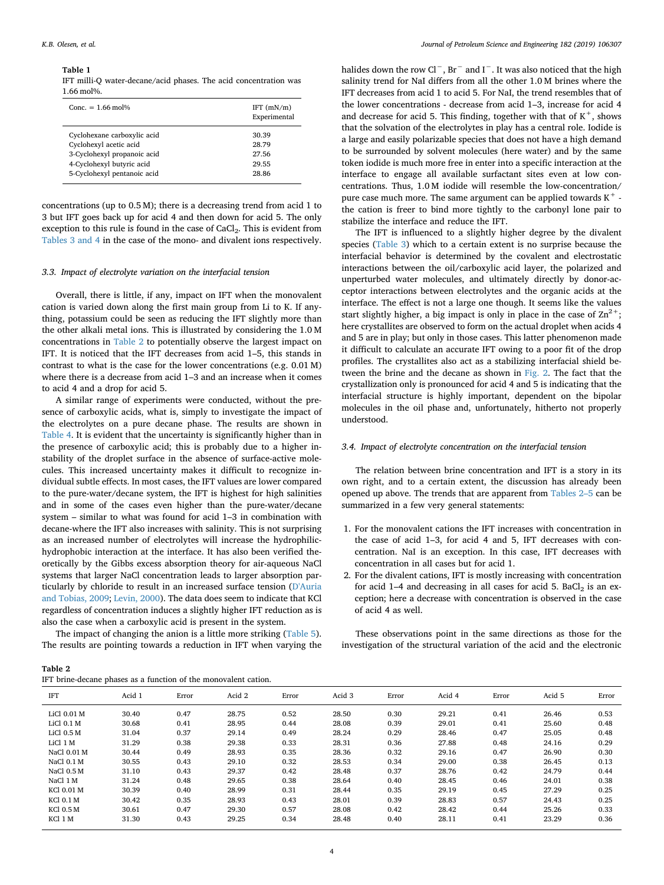#### <span id="page-3-0"></span>**Table 1**

IFT milli-Q water-decane/acid phases. The acid concentration was 1.66 mol%.

| Conc. $= 1.66$ mol%         | IFT $(mN/m)$<br>Experimental |
|-----------------------------|------------------------------|
| Cyclohexane carboxylic acid | 30.39                        |
| Cyclohexyl acetic acid      | 28.79                        |
| 3-Cyclohexyl propanoic acid | 27.56                        |
| 4-Cyclohexyl butyric acid   | 29.55                        |
| 5-Cyclohexyl pentanoic acid | 28.86                        |

concentrations (up to 0.5 M); there is a decreasing trend from acid 1 to 3 but IFT goes back up for acid 4 and then down for acid 5. The only exception to this rule is found in the case of  $CaCl<sub>2</sub>$ . This is evident from [Tables 3 and 4](#page-4-0) in the case of the mono- and divalent ions respectively.

#### *3.3. Impact of electrolyte variation on the interfacial tension*

Overall, there is little, if any, impact on IFT when the monovalent cation is varied down along the first main group from Li to K. If anything, potassium could be seen as reducing the IFT slightly more than the other alkali metal ions. This is illustrated by considering the 1.0 M concentrations in [Table 2](#page-3-1) to potentially observe the largest impact on IFT. It is noticed that the IFT decreases from acid 1–5, this stands in contrast to what is the case for the lower concentrations (e.g. 0.01 M) where there is a decrease from acid 1–3 and an increase when it comes to acid 4 and a drop for acid 5.

A similar range of experiments were conducted, without the presence of carboxylic acids, what is, simply to investigate the impact of the electrolytes on a pure decane phase. The results are shown in [Table 4.](#page-4-1) It is evident that the uncertainty is significantly higher than in the presence of carboxylic acid; this is probably due to a higher instability of the droplet surface in the absence of surface-active molecules. This increased uncertainty makes it difficult to recognize individual subtle effects. In most cases, the IFT values are lower compared to the pure-water/decane system, the IFT is highest for high salinities and in some of the cases even higher than the pure-water/decane system – similar to what was found for acid 1–3 in combination with decane-where the IFT also increases with salinity. This is not surprising as an increased number of electrolytes will increase the hydrophilichydrophobic interaction at the interface. It has also been verified theoretically by the Gibbs excess absorption theory for air-aqueous NaCl systems that larger NaCl concentration leads to larger absorption particularly by chloride to result in an increased surface tension [\(D'Auria](#page-5-9) [and Tobias, 2009](#page-5-9); [Levin, 2000\)](#page-6-15). The data does seem to indicate that KCl regardless of concentration induces a slightly higher IFT reduction as is also the case when a carboxylic acid is present in the system.

The impact of changing the anion is a little more striking [\(Table 5](#page-4-2)). The results are pointing towards a reduction in IFT when varying the halides down the row Cl<sup>−</sup>, Br<sup>−</sup> and I<sup>−</sup>. It was also noticed that the high salinity trend for NaI differs from all the other 1.0 M brines where the IFT decreases from acid 1 to acid 5. For NaI, the trend resembles that of the lower concentrations - decrease from acid 1–3, increase for acid 4 and decrease for acid 5. This finding, together with that of  $K^+$ , shows that the solvation of the electrolytes in play has a central role. Iodide is a large and easily polarizable species that does not have a high demand to be surrounded by solvent molecules (here water) and by the same token iodide is much more free in enter into a specific interaction at the interface to engage all available surfactant sites even at low concentrations. Thus, 1.0 M iodide will resemble the low-concentration/ pure case much more. The same argument can be applied towards  $K^+$  the cation is freer to bind more tightly to the carbonyl lone pair to stabilize the interface and reduce the IFT.

The IFT is influenced to a slightly higher degree by the divalent species [\(Table 3](#page-4-0)) which to a certain extent is no surprise because the interfacial behavior is determined by the covalent and electrostatic interactions between the oil/carboxylic acid layer, the polarized and unperturbed water molecules, and ultimately directly by donor-acceptor interactions between electrolytes and the organic acids at the interface. The effect is not a large one though. It seems like the values start slightly higher, a big impact is only in place in the case of  $\text{Zn}^{2+}$ ; here crystallites are observed to form on the actual droplet when acids 4 and 5 are in play; but only in those cases. This latter phenomenon made it difficult to calculate an accurate IFT owing to a poor fit of the drop profiles. The crystallites also act as a stabilizing interfacial shield between the brine and the decane as shown in [Fig. 2.](#page-5-10) The fact that the crystallization only is pronounced for acid 4 and 5 is indicating that the interfacial structure is highly important, dependent on the bipolar molecules in the oil phase and, unfortunately, hitherto not properly understood.

#### *3.4. Impact of electrolyte concentration on the interfacial tension*

The relation between brine concentration and IFT is a story in its own right, and to a certain extent, the discussion has already been opened up above. The trends that are apparent from [Tables 2–5](#page-3-1) can be summarized in a few very general statements:

- 1. For the monovalent cations the IFT increases with concentration in the case of acid 1–3, for acid 4 and 5, IFT decreases with concentration. NaI is an exception. In this case, IFT decreases with concentration in all cases but for acid 1.
- 2. For the divalent cations, IFT is mostly increasing with concentration for acid 1–4 and decreasing in all cases for acid 5. BaCl<sub>2</sub> is an exception; here a decrease with concentration is observed in the case of acid 4 as well.

These observations point in the same directions as those for the investigation of the structural variation of the acid and the electronic

<span id="page-3-1"></span>

| w<br>e la |  |
|-----------|--|
|-----------|--|

IFT brine-decane phases as a function of the monovalent cation.

| <b>IFT</b>       | Acid 1 | Error | Acid 2 | Error | Acid 3 | Error | Acid 4 | Error | Acid 5 | Error |
|------------------|--------|-------|--------|-------|--------|-------|--------|-------|--------|-------|
| LiCl 0.01 M      | 30.40  | 0.47  | 28.75  | 0.52  | 28.50  | 0.30  | 29.21  | 0.41  | 26.46  | 0.53  |
| $LiCl$ 0.1 M     | 30.68  | 0.41  | 28.95  | 0.44  | 28.08  | 0.39  | 29.01  | 0.41  | 25.60  | 0.48  |
| LiCl 0.5 M       | 31.04  | 0.37  | 29.14  | 0.49  | 28.24  | 0.29  | 28.46  | 0.47  | 25.05  | 0.48  |
| LiCl 1 M         | 31.29  | 0.38  | 29.38  | 0.33  | 28.31  | 0.36  | 27.88  | 0.48  | 24.16  | 0.29  |
| NaCl 0.01 M      | 30.44  | 0.49  | 28.93  | 0.35  | 28.36  | 0.32  | 29.16  | 0.47  | 26.90  | 0.30  |
| NaCl 0.1 M       | 30.55  | 0.43  | 29.10  | 0.32  | 28.53  | 0.34  | 29.00  | 0.38  | 26.45  | 0.13  |
| NaCl 0.5 M       | 31.10  | 0.43  | 29.37  | 0.42  | 28.48  | 0.37  | 28.76  | 0.42  | 24.79  | 0.44  |
| NaCl 1 M         | 31.24  | 0.48  | 29.65  | 0.38  | 28.64  | 0.40  | 28.45  | 0.46  | 24.01  | 0.38  |
| KCl 0.01 M       | 30.39  | 0.40  | 28.99  | 0.31  | 28.44  | 0.35  | 29.19  | 0.45  | 27.29  | 0.25  |
| <b>KCl 0.1 M</b> | 30.42  | 0.35  | 28.93  | 0.43  | 28.01  | 0.39  | 28.83  | 0.57  | 24.43  | 0.25  |
| KCl 0.5 M        | 30.61  | 0.47  | 29.30  | 0.57  | 28.08  | 0.42  | 28.42  | 0.44  | 25.26  | 0.33  |
| KCl 1 M          | 31.30  | 0.43  | 29.25  | 0.34  | 28.48  | 0.40  | 28.11  | 0.41  | 23.29  | 0.36  |
|                  |        |       |        |       |        |       |        |       |        |       |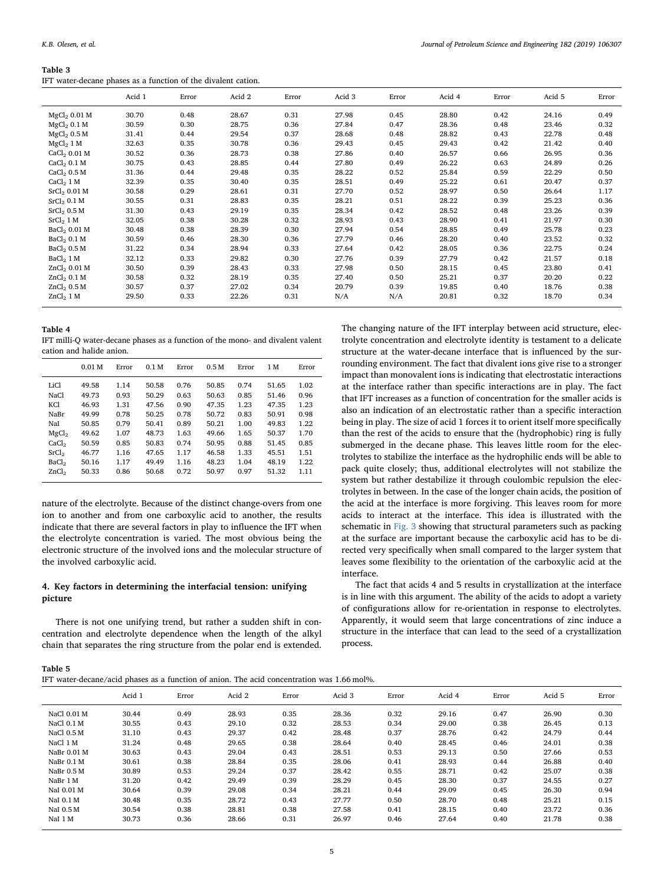<span id="page-4-0"></span>

IFT water-decane phases as a function of the divalent cation.

|                           | Acid 1 | Error | Acid 2 | Error | Acid 3 | Error | Acid 4 | Error | Acid 5 | Error |
|---------------------------|--------|-------|--------|-------|--------|-------|--------|-------|--------|-------|
| MgCl <sub>2</sub> 0.01 M  | 30.70  | 0.48  | 28.67  | 0.31  | 27.98  | 0.45  | 28.80  | 0.42  | 24.16  | 0.49  |
| MgCl <sub>2</sub> 0.1 M   | 30.59  | 0.30  | 28.75  | 0.36  | 27.84  | 0.47  | 28.36  | 0.48  | 23.46  | 0.32  |
| MgCl <sub>2</sub> 0.5 M   | 31.41  | 0.44  | 29.54  | 0.37  | 28.68  | 0.48  | 28.82  | 0.43  | 22.78  | 0.48  |
| MgCl <sub>2</sub> 1 M     | 32.63  | 0.35  | 30.78  | 0.36  | 29.43  | 0.45  | 29.43  | 0.42  | 21.42  | 0.40  |
| CaCl <sub>2</sub> 0.01 M  | 30.52  | 0.36  | 28.73  | 0.38  | 27.86  | 0.40  | 26.57  | 0.66  | 26.95  | 0.36  |
| CaCl <sub>2</sub> $0.1$ M | 30.75  | 0.43  | 28.85  | 0.44  | 27.80  | 0.49  | 26.22  | 0.63  | 24.89  | 0.26  |
| CaCl <sub>2</sub> $0.5 M$ | 31.36  | 0.44  | 29.48  | 0.35  | 28.22  | 0.52  | 25.84  | 0.59  | 22.29  | 0.50  |
| CaCl <sub>2</sub> 1 M     | 32.39  | 0.35  | 30.40  | 0.35  | 28.51  | 0.49  | 25.22  | 0.61  | 20.47  | 0.37  |
| SrCl <sub>2</sub> 0.01 M  | 30.58  | 0.29  | 28.61  | 0.31  | 27.70  | 0.52  | 28.97  | 0.50  | 26.64  | 1.17  |
| SrCl <sub>2</sub> 0.1 M   | 30.55  | 0.31  | 28.83  | 0.35  | 28.21  | 0.51  | 28.22  | 0.39  | 25.23  | 0.36  |
| $SrCl2$ 0.5 M             | 31.30  | 0.43  | 29.19  | 0.35  | 28.34  | 0.42  | 28.52  | 0.48  | 23.26  | 0.39  |
| SrCl <sub>2</sub> 1 M     | 32.05  | 0.38  | 30.28  | 0.32  | 28.93  | 0.43  | 28.90  | 0.41  | 21.97  | 0.30  |
| BaCl <sub>2</sub> 0.01 M  | 30.48  | 0.38  | 28.39  | 0.30  | 27.94  | 0.54  | 28.85  | 0.49  | 25.78  | 0.23  |
| BaCl <sub>2</sub> $0.1$ M | 30.59  | 0.46  | 28.30  | 0.36  | 27.79  | 0.46  | 28.20  | 0.40  | 23.52  | 0.32  |
| BaCl <sub>2</sub> $0.5 M$ | 31.22  | 0.34  | 28.94  | 0.33  | 27.64  | 0.42  | 28.05  | 0.36  | 22.75  | 0.24  |
| BaCl <sub>2</sub> 1 M     | 32.12  | 0.33  | 29.82  | 0.30  | 27.76  | 0.39  | 27.79  | 0.42  | 21.57  | 0.18  |
| ZnCl <sub>2</sub> 0.01 M  | 30.50  | 0.39  | 28.43  | 0.33  | 27.98  | 0.50  | 28.15  | 0.45  | 23.80  | 0.41  |
| ZnCl <sub>2</sub> 0.1 M   | 30.58  | 0.32  | 28.19  | 0.35  | 27.40  | 0.50  | 25.21  | 0.37  | 20.20  | 0.22  |
| ZnCl <sub>2</sub> 0.5 M   | 30.57  | 0.37  | 27.02  | 0.34  | 20.79  | 0.39  | 19.85  | 0.40  | 18.76  | 0.38  |
| ZnCl <sub>2</sub> 1 M     | 29.50  | 0.33  | 22.26  | 0.31  | N/A    | N/A   | 20.81  | 0.32  | 18.70  | 0.34  |

<span id="page-4-1"></span>**Table 4**

IFT milli-Q water-decane phases as a function of the mono- and divalent valent cation and halide anion.

|                   | 0.01 <sub>M</sub> | Error | 0.1 <sub>M</sub> | Error | 0.5 <sub>M</sub> | Error | 1 M   | Error |
|-------------------|-------------------|-------|------------------|-------|------------------|-------|-------|-------|
| LiCl              | 49.58             | 1.14  | 50.58            | 0.76  | 50.85            | 0.74  | 51.65 | 1.02  |
| NaCl              | 49.73             | 0.93  | 50.29            | 0.63  | 50.63            | 0.85  | 51.46 | 0.96  |
| KC1               | 46.93             | 1.31  | 47.56            | 0.90  | 47.35            | 1.23  | 47.35 | 1.23  |
| NaBr              | 49.99             | 0.78  | 50.25            | 0.78  | 50.72            | 0.83  | 50.91 | 0.98  |
| NaI               | 50.85             | 0.79  | 50.41            | 0.89  | 50.21            | 1.00  | 49.83 | 1.22  |
| MgCl <sub>2</sub> | 49.62             | 1.07  | 48.73            | 1.63  | 49.66            | 1.65  | 50.37 | 1.70  |
| CaCl <sub>2</sub> | 50.59             | 0.85  | 50.83            | 0.74  | 50.95            | 0.88  | 51.45 | 0.85  |
| SrCl <sub>2</sub> | 46.77             | 1.16  | 47.65            | 1.17  | 46.58            | 1.33  | 45.51 | 1.51  |
| BaCl <sub>2</sub> | 50.16             | 1.17  | 49.49            | 1.16  | 48.23            | 1.04  | 48.19 | 1.22  |
| ZnCl <sub>2</sub> | 50.33             | 0.86  | 50.68            | 0.72  | 50.97            | 0.97  | 51.32 | 1.11  |

nature of the electrolyte. Because of the distinct change-overs from one ion to another and from one carboxylic acid to another, the results indicate that there are several factors in play to influence the IFT when the electrolyte concentration is varied. The most obvious being the electronic structure of the involved ions and the molecular structure of the involved carboxylic acid.

## **4. Key factors in determining the interfacial tension: unifying picture**

There is not one unifying trend, but rather a sudden shift in concentration and electrolyte dependence when the length of the alkyl chain that separates the ring structure from the polar end is extended. The changing nature of the IFT interplay between acid structure, electrolyte concentration and electrolyte identity is testament to a delicate structure at the water-decane interface that is influenced by the surrounding environment. The fact that divalent ions give rise to a stronger impact than monovalent ions is indicating that electrostatic interactions at the interface rather than specific interactions are in play. The fact that IFT increases as a function of concentration for the smaller acids is also an indication of an electrostatic rather than a specific interaction being in play. The size of acid 1 forces it to orient itself more specifically than the rest of the acids to ensure that the (hydrophobic) ring is fully submerged in the decane phase. This leaves little room for the electrolytes to stabilize the interface as the hydrophilic ends will be able to pack quite closely; thus, additional electrolytes will not stabilize the system but rather destabilize it through coulombic repulsion the electrolytes in between. In the case of the longer chain acids, the position of the acid at the interface is more forgiving. This leaves room for more acids to interact at the interface. This idea is illustrated with the schematic in [Fig. 3](#page-5-11) showing that structural parameters such as packing at the surface are important because the carboxylic acid has to be directed very specifically when small compared to the larger system that leaves some flexibility to the orientation of the carboxylic acid at the interface.

The fact that acids 4 and 5 results in crystallization at the interface is in line with this argument. The ability of the acids to adopt a variety of configurations allow for re-orientation in response to electrolytes. Apparently, it would seem that large concentrations of zinc induce a structure in the interface that can lead to the seed of a crystallization process.

<span id="page-4-2"></span>

IFT water-decane/acid phases as a function of anion. The acid concentration was 1.66 mol%.

|             | Acid 1 | Error | Acid 2 | Error | Acid 3 | Error | Acid 4 | Error | Acid 5 | Error |
|-------------|--------|-------|--------|-------|--------|-------|--------|-------|--------|-------|
| NaCl 0.01 M | 30.44  | 0.49  | 28.93  | 0.35  | 28.36  | 0.32  | 29.16  | 0.47  | 26.90  | 0.30  |
| NaCl 0.1 M  | 30.55  | 0.43  | 29.10  | 0.32  | 28.53  | 0.34  | 29.00  | 0.38  | 26.45  | 0.13  |
| NaCl 0.5 M  | 31.10  | 0.43  | 29.37  | 0.42  | 28.48  | 0.37  | 28.76  | 0.42  | 24.79  | 0.44  |
| NaCl 1 M    | 31.24  | 0.48  | 29.65  | 0.38  | 28.64  | 0.40  | 28.45  | 0.46  | 24.01  | 0.38  |
| NaBr 0.01 M | 30.63  | 0.43  | 29.04  | 0.43  | 28.51  | 0.53  | 29.13  | 0.50  | 27.66  | 0.53  |
| NaBr 0.1 M  | 30.61  | 0.38  | 28.84  | 0.35  | 28.06  | 0.41  | 28.93  | 0.44  | 26.88  | 0.40  |
| NaBr 0.5 M  | 30.89  | 0.53  | 29.24  | 0.37  | 28.42  | 0.55  | 28.71  | 0.42  | 25.07  | 0.38  |
| NaBr 1 M    | 31.20  | 0.42  | 29.49  | 0.39  | 28.29  | 0.45  | 28.30  | 0.37  | 24.55  | 0.27  |
| NaI 0.01 M  | 30.64  | 0.39  | 29.08  | 0.34  | 28.21  | 0.44  | 29.09  | 0.45  | 26.30  | 0.94  |
| NaI 0.1 M   | 30.48  | 0.35  | 28.72  | 0.43  | 27.77  | 0.50  | 28.70  | 0.48  | 25.21  | 0.15  |
| NaI 0.5 M   | 30.54  | 0.38  | 28.81  | 0.38  | 27.58  | 0.41  | 28.15  | 0.40  | 23.72  | 0.36  |
| NaI 1 M     | 30.73  | 0.36  | 28.66  | 0.31  | 26.97  | 0.46  | 27.64  | 0.40  | 21.78  | 0.38  |
|             |        |       |        |       |        |       |        |       |        |       |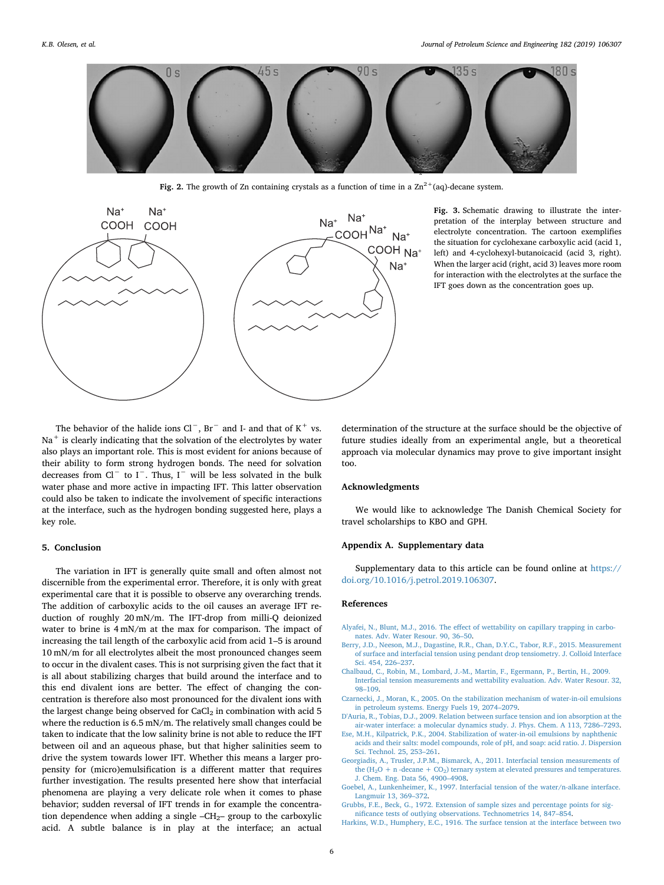<span id="page-5-10"></span>

**Fig. 2.** The growth of Zn containing crystals as a function of time in a  $\text{Zn}^{2+}$ (aq)-decane system.

<span id="page-5-11"></span>

**Fig. 3.** Schematic drawing to illustrate the interpretation of the interplay between structure and electrolyte concentration. The cartoon exemplifies the situation for cyclohexane carboxylic acid (acid 1, left) and 4-cyclohexyl-butanoicacid (acid 3, right). When the larger acid (right, acid 3) leaves more room for interaction with the electrolytes at the surface the IFT goes down as the concentration goes up.

The behavior of the halide ions Cl<sup>−</sup>, Br<sup>−</sup> and I- and that of K<sup>+</sup> vs.  $Na<sup>+</sup>$  is clearly indicating that the solvation of the electrolytes by water also plays an important role. This is most evident for anions because of their ability to form strong hydrogen bonds. The need for solvation decreases from Cl− to I−. Thus, I− will be less solvated in the bulk water phase and more active in impacting IFT. This latter observation could also be taken to indicate the involvement of specific interactions at the interface, such as the hydrogen bonding suggested here, plays a key role.

#### **5. Conclusion**

The variation in IFT is generally quite small and often almost not discernible from the experimental error. Therefore, it is only with great experimental care that it is possible to observe any overarching trends. The addition of carboxylic acids to the oil causes an average IFT reduction of roughly 20 mN/m. The IFT-drop from milli-Q deionized water to brine is 4 mN/m at the max for comparison. The impact of increasing the tail length of the carboxylic acid from acid 1–5 is around 10 mN/m for all electrolytes albeit the most pronounced changes seem to occur in the divalent cases. This is not surprising given the fact that it is all about stabilizing charges that build around the interface and to this end divalent ions are better. The effect of changing the concentration is therefore also most pronounced for the divalent ions with the largest change being observed for  $CaCl<sub>2</sub>$  in combination with acid 5 where the reduction is 6.5 mN/m. The relatively small changes could be taken to indicate that the low salinity brine is not able to reduce the IFT between oil and an aqueous phase, but that higher salinities seem to drive the system towards lower IFT. Whether this means a larger propensity for (micro)emulsification is a different matter that requires further investigation. The results presented here show that interfacial phenomena are playing a very delicate role when it comes to phase behavior; sudden reversal of IFT trends in for example the concentration dependence when adding a single  $-CH_{2}$ – group to the carboxylic acid. A subtle balance is in play at the interface; an actual determination of the structure at the surface should be the objective of future studies ideally from an experimental angle, but a theoretical approach via molecular dynamics may prove to give important insight too.

## **Acknowledgments**

We would like to acknowledge The Danish Chemical Society for travel scholarships to KBO and GPH.

#### **Appendix A. Supplementary data**

Supplementary data to this article can be found online at [https://](https://doi.org/10.1016/j.petrol.2019.106307) [doi.org/10.1016/j.petrol.2019.106307](https://doi.org/10.1016/j.petrol.2019.106307).

#### **References**

- <span id="page-5-3"></span>[Alyafei, N., Blunt, M.J., 2016. The effect of wettability on capillary trapping in carbo](http://refhub.elsevier.com/S0920-4105(19)30728-4/sref1)[nates. Adv. Water Resour. 90, 36–50](http://refhub.elsevier.com/S0920-4105(19)30728-4/sref1).
- <span id="page-5-5"></span>[Berry, J.D., Neeson, M.J., Dagastine, R.R., Chan, D.Y.C., Tabor, R.F., 2015. Measurement](http://refhub.elsevier.com/S0920-4105(19)30728-4/sref2) [of surface and interfacial tension using pendant drop tensiometry. J. Colloid Interface](http://refhub.elsevier.com/S0920-4105(19)30728-4/sref2) [Sci. 454, 226–237](http://refhub.elsevier.com/S0920-4105(19)30728-4/sref2).
- <span id="page-5-1"></span>[Chalbaud, C., Robin, M., Lombard, J.-M., Martin, F., Egermann, P., Bertin, H., 2009.](http://refhub.elsevier.com/S0920-4105(19)30728-4/sref3) [Interfacial tension measurements and wettability evaluation. Adv. Water Resour. 32,](http://refhub.elsevier.com/S0920-4105(19)30728-4/sref3) [98–109.](http://refhub.elsevier.com/S0920-4105(19)30728-4/sref3)
- <span id="page-5-2"></span>[Czarnecki, J., Moran, K., 2005. On the stabilization mechanism of water-in-oil emulsions](http://refhub.elsevier.com/S0920-4105(19)30728-4/sref4) [in petroleum systems. Energy Fuels 19, 2074–2079](http://refhub.elsevier.com/S0920-4105(19)30728-4/sref4).
- <span id="page-5-9"></span>[D'Auria, R., Tobias, D.J., 2009. Relation between surface tension and ion absorption at the](http://refhub.elsevier.com/S0920-4105(19)30728-4/sref5) [air-water interface: a molecular dynamics study. J. Phys. Chem. A 113, 7286–7293.](http://refhub.elsevier.com/S0920-4105(19)30728-4/sref5)
- <span id="page-5-4"></span>[Ese, M.H., Kilpatrick, P.K., 2004. Stabilization of water-in-oil emulsions by naphthenic](http://refhub.elsevier.com/S0920-4105(19)30728-4/sref6) [acids and their salts: model compounds, role of pH, and soap: acid ratio. J. Dispersion](http://refhub.elsevier.com/S0920-4105(19)30728-4/sref6) [Sci. Technol. 25, 253–261.](http://refhub.elsevier.com/S0920-4105(19)30728-4/sref6)
- <span id="page-5-7"></span>[Georgiadis, A., Trusler, J.P.M., Bismarck, A., 2011. Interfacial tension measurements of](http://refhub.elsevier.com/S0920-4105(19)30728-4/sref7) the  $(H_2O + n$  -decane +  $CO_2$ ) ternary system at elevated pressures and temperatures. [J. Chem. Eng. Data 56, 4900–4908](http://refhub.elsevier.com/S0920-4105(19)30728-4/sref7).
- <span id="page-5-8"></span>[Goebel, A., Lunkenheimer, K., 1997. Interfacial tension of the water/n-alkane interface.](http://refhub.elsevier.com/S0920-4105(19)30728-4/sref8) [Langmuir 13, 369–372.](http://refhub.elsevier.com/S0920-4105(19)30728-4/sref8)
- <span id="page-5-6"></span>[Grubbs, F.E., Beck, G., 1972. Extension of sample sizes and percentage points for sig](http://refhub.elsevier.com/S0920-4105(19)30728-4/sref9)[nificance tests of outlying observations. Technometrics 14, 847–854.](http://refhub.elsevier.com/S0920-4105(19)30728-4/sref9)
- <span id="page-5-0"></span>[Harkins, W.D., Humphery, E.C., 1916. The surface tension at the interface between two](http://refhub.elsevier.com/S0920-4105(19)30728-4/sref10)